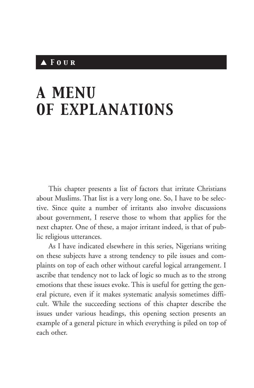# ▲ *Four*

# *A MENU OF EXPLANATIONS*

This chapter presents a list of factors that irritate Christians about Muslims. That list is a very long one. So, I have to be selective. Since quite a number of irritants also involve discussions about government, I reserve those to whom that applies for the next chapter. One of these, a major irritant indeed, is that of public religious utterances.

As I have indicated elsewhere in this series, Nigerians writing on these subjects have a strong tendency to pile issues and complaints on top of each other without careful logical arrangement. I ascribe that tendency not to lack of logic so much as to the strong emotions that these issues evoke. This is useful for getting the general picture, even if it makes systematic analysis sometimes difficult. While the succeeding sections of this chapter describe the issues under various headings, this opening section presents an example of a general picture in which everything is piled on top of each other.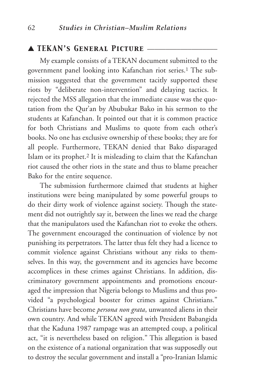# ▲ *TEKAN's General Picture* \_\_\_\_\_\_\_\_\_\_\_\_\_\_\_\_\_\_\_

My example consists of a TEKAN document submitted to the government panel looking into Kafanchan riot series.1 The submission suggested that the government tacitly supported these riots by "deliberate non-intervention" and delaying tactics. It rejected the MSS allegation that the immediate cause was the quotation from the Qur'an by Abubukar Bako in his sermon to the students at Kafanchan. It pointed out that it is common practice for both Christians and Muslims to quote from each other's books. No one has exclusive ownership of these books; they are for all people. Furthermore, TEKAN denied that Bako disparaged Islam or its prophet.2 It is misleading to claim that the Kafanchan riot caused the other riots in the state and thus to blame preacher Bako for the entire sequence.

The submission furthermore claimed that students at higher institutions were being manipulated by some powerful groups to do their dirty work of violence against society. Though the statement did not outrightly say it, between the lines we read the charge that the manipulators used the Kafanchan riot to evoke the others. The government encouraged the continuation of violence by not punishing its perpetrators. The latter thus felt they had a licence to commit violence against Christians without any risks to themselves. In this way, the government and its agencies have become accomplices in these crimes against Christians. In addition, discriminatory government appointments and promotions encouraged the impression that Nigeria belongs to Muslims and thus provided "a psychological booster for crimes against Christians." Christians have become *persona non grata*, unwanted aliens in their own country. And while TEKAN agreed with President Babangida that the Kaduna 1987 rampage was an attempted coup, a political act, "it is nevertheless based on religion." This allegation is based on the existence of a national organization that was supposedly out to destroy the secular government and install a "pro-Iranian Islamic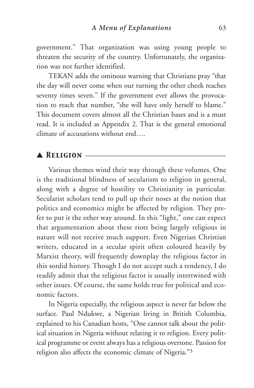government." That organization was using young people to threaten the security of the country. Unfortunately, the organization was not further identified.

TEKAN adds the ominous warning that Christians pray "that the day will never come when our turning the other cheek reaches seventy times seven." If the government ever allows the provocation to reach that number, "she will have only herself to blame." This document covers almost all the Christian bases and is a must read. It is included as Appendix 2. That is the general emotional climate of accusations without end….

## ▲ *Religion* \_\_\_\_\_\_\_\_\_\_\_\_\_\_\_\_\_\_\_\_\_\_\_\_\_\_\_\_\_\_\_\_\_\_\_\_\_\_

Various themes wind their way through these volumes. One is the traditional blindness of secularism to religion in general, along with a degree of hostility to Christianity in particular. Secularist scholars tend to pull up their noses at the notion that politics and economics might be affected by religion. They prefer to put it the other way around. In this "light," one can expect that argumentation about these riots being largely religious in nature will not receive much support. Even Nigerian Christian writers, educated in a secular spirit often coloured heavily by Marxist theory, will frequently downplay the religious factor in this sordid history. Though I do not accept such a tendency, I do readily admit that the religious factor is usually intertwined with other issues. Of course, the same holds true for political and economic factors.

In Nigeria especially, the religious aspect is never far below the surface. Paul Ndukwe, a Nigerian living in British Columbia, explained to his Canadian hosts, "One cannot talk about the political situation in Nigeria without relating it to religion. Every political programme or event always has a religious overtone. Passion for religion also affects the economic climate of Nigeria."3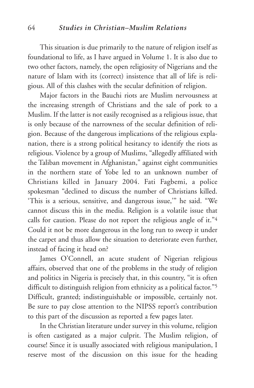This situation is due primarily to the nature of religion itself as foundational to life, as I have argued in Volume 1. It is also due to two other factors, namely, the open religiosity of Nigerians and the nature of Islam with its (correct) insistence that all of life is religious. All of this clashes with the secular definition of religion.

Major factors in the Bauchi riots are Muslim nervousness at the increasing strength of Christians and the sale of pork to a Muslim. If the latter is not easily recognised as a religious issue, that is only because of the narrowness of the secular definition of religion. Because of the dangerous implications of the religious explanation, there is a strong political hesitancy to identify the riots as religious. Violence by a group of Muslims, "allegedly affiliated with the Taliban movement in Afghanistan," against eight communities in the northern state of Yobe led to an unknown number of Christians killed in January 2004. Fati Fagbemi, a police spokesman "declined to discuss the number of Christians killed. 'This is a serious, sensitive, and dangerous issue,'" he said. "We cannot discuss this in the media. Religion is a volatile issue that calls for caution. Please do not report the religious angle of it."4 Could it not be more dangerous in the long run to sweep it under the carpet and thus allow the situation to deteriorate even further, instead of facing it head on?

James O'Connell, an acute student of Nigerian religious affairs, observed that one of the problems in the study of religion and politics in Nigeria is precisely that, in this country, "it is often difficult to distinguish religion from ethnicity as a political factor."<sup>5</sup> Difficult, granted; indistinguishable or impossible, certainly not. Be sure to pay close attention to the NIPSS report's contribution to this part of the discussion as reported a few pages later.

In the Christian literature under survey in this volume, religion is often castigated as a major culprit. The Muslim religion, of course! Since it is usually associated with religious manipulation, I reserve most of the discussion on this issue for the heading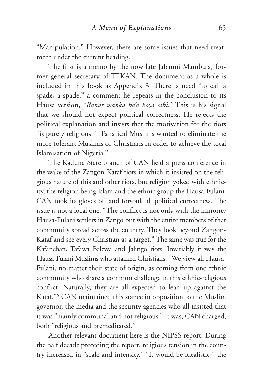"Manipulation." However, there are some issues that need treatment under the current heading.

The first is a memo by the now late Jabanni Mambula, former general secretary of TEKAN. The document as a whole is included in this book as Appendix 3. There is need "to call a spade, a spade," a comment he repeats in the conclusion to its Hausa version, "*Ranar wanka ba'a boya cibi."* This is his signal that we should not expect political correctness. He rejects the political explanation and insists that the motivation for the riots "is purely religious." "Fanatical Muslims wanted to eliminate the more tolerant Muslims or Christians in order to achieve the total Islamisation of Nigeria."

The Kaduna State branch of CAN held a press conference in the wake of the Zangon-Kataf riots in which it insisted on the religious nature of this and other riots, but religion yoked with ethnicity, the religion being Islam and the ethnic group the Hausa-Fulani. CAN took its gloves off and forsook all political correctness. The issue is not a local one. "The conflict is not only with the minority Hausa-Fulani settlers in Zango but with the entire members of that community spread across the country. They look beyond Zangon-Kataf and see every Christian as a target." The same was true for the Kafanchan, Tafawa Balewa and Jalingo riots. Invariably it was the Hausa-Fulani Muslims who attacked Christians. "We view all Hausa-Fulani, no matter their state of origin, as coming from one ethnic community who share a common challenge in this ethnic-religious conflict. Naturally, they are all expected to lean up against the Kataf."6 CAN maintained this stance in opposition to the Muslim governor, the media and the security agencies who all insisted that it was "mainly communal and not religious." It was, CAN charged, both "religious and premeditated."

Another relevant document here is the NIPSS report. During the half decade preceding the report, religious tension in the country increased in "scale and intensity." "It would be idealistic," the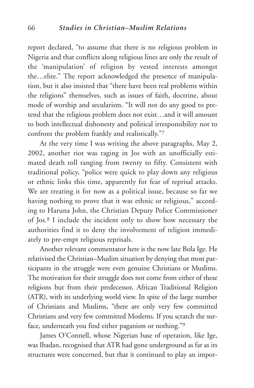report declared, "to assume that there is no religious problem in Nigeria and that conflicts along religious lines are only the result of the 'manipulation' of religion by vested interests amongst the…elite." The report acknowledged the presence of manipulation, but it also insisted that "there have been real problems within the religions" themselves, such as issues of faith, doctrine, about mode of worship and secularism. "It will not do any good to pretend that the religious problem does not exist…and it will amount to both intellectual dishonesty and political irresponsibility not to confront the problem frankly and realistically."7

At the very time I was writing the above paragraphs, May 2, 2002, another riot was raging in Jos with an unofficially estimated death toll ranging from twenty to fifty. Consistent with traditional policy, "police were quick to play down any religious or ethnic links this time, apparently for fear of reprisal attacks. We are treating it for now as a political issue, because so far we having nothing to prove that it was ethnic or religious," according to Haruna John, the Christian Deputy Police Commissioner of Jos.8 I include the incident only to show how necessary the authorities find it to deny the involvement of religion immediately to pre-empt religious reprisals.

Another relevant commentator here is the now late Bola Ige. He relativised the Christian–Muslim situation by denying that most participants in the struggle were even genuine Christians or Muslims. The motivation for their struggle does not come from either of these religions but from their predecessor, African Traditional Religion (ATR), with its underlying world view. In spite of the large number of Christians and Muslims, "there are only very few committed Christians and very few committed Moslems. If you scratch the surface, underneath you find either paganism or nothing."9

James O'Connell, whose Nigerian base of operation, like Ige, was Ibadan, recognised that ATR had gone underground as far as its structures were concerned, but that it continued to play an impor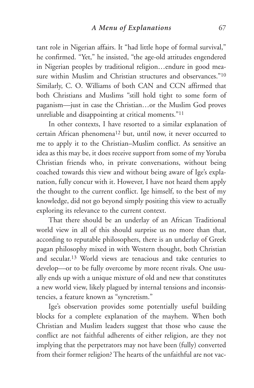tant role in Nigerian affairs. It "had little hope of formal survival," he confirmed. "Yet," he insisted, "the age-old attitudes engendered in Nigerian peoples by traditional religion…endure in good measure within Muslim and Christian structures and observances."10 Similarly, C. O. Williams of both CAN and CCN affirmed that both Christians and Muslims "still hold tight to some form of paganism—just in case the Christian…or the Muslim God proves unreliable and disappointing at critical moments."11

In other contexts, I have resorted to a similar explanation of certain African phenomena12 but, until now, it never occurred to me to apply it to the Christian–Muslim conflict. As sensitive an idea as this may be, it does receive support from some of my Yoruba Christian friends who, in private conversations, without being coached towards this view and without being aware of Ige's explanation, fully concur with it. However, I have not heard them apply the thought to the current conflict. Ige himself, to the best of my knowledge, did not go beyond simply positing this view to actually exploring its relevance to the current context.

That there should be an underlay of an African Traditional world view in all of this should surprise us no more than that, according to reputable philosophers, there is an underlay of Greek pagan philosophy mixed in with Western thought, both Christian and secular.13 World views are tenacious and take centuries to develop—or to be fully overcome by more recent rivals. One usually ends up with a unique mixture of old and new that constitutes a new world view, likely plagued by internal tensions and inconsistencies, a feature known as "syncretism."

Ige's observation provides some potentially useful building blocks for a complete explanation of the mayhem. When both Christian and Muslim leaders suggest that those who cause the conflict are not faithful adherents of either religion, are they not implying that the perpetrators may not have been (fully) converted from their former religion? The hearts of the unfaithful are not vac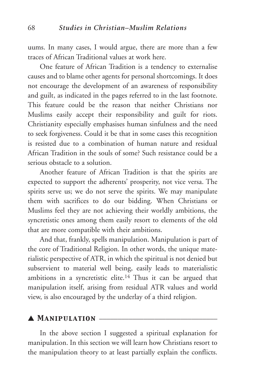uums. In many cases, I would argue, there are more than a few traces of African Traditional values at work here.

One feature of African Tradition is a tendency to externalise causes and to blame other agents for personal shortcomings. It does not encourage the development of an awareness of responsibility and guilt, as indicated in the pages referred to in the last footnote. This feature could be the reason that neither Christians nor Muslims easily accept their responsibility and guilt for riots. Christianity especially emphasises human sinfulness and the need to seek forgiveness. Could it be that in some cases this recognition is resisted due to a combination of human nature and residual African Tradition in the souls of some? Such resistance could be a serious obstacle to a solution.

Another feature of African Tradition is that the spirits are expected to support the adherents' prosperity, not vice versa. The spirits serve us; we do not serve the spirits. We may manipulate them with sacrifices to do our bidding. When Christians or Muslims feel they are not achieving their worldly ambitions, the syncretistic ones among them easily resort to elements of the old that are more compatible with their ambitions.

And that, frankly, spells manipulation. Manipulation is part of the core of Traditional Religion. In other words, the unique materialistic perspective of ATR, in which the spiritual is not denied but subservient to material well being, easily leads to materialistic ambitions in a syncretistic elite.<sup>14</sup> Thus it can be argued that manipulation itself, arising from residual ATR values and world view, is also encouraged by the underlay of a third religion.

#### $\blacktriangle$  **MANIPULATION**  $\equiv$

In the above section I suggested a spiritual explanation for manipulation. In this section we will learn how Christians resort to the manipulation theory to at least partially explain the conflicts.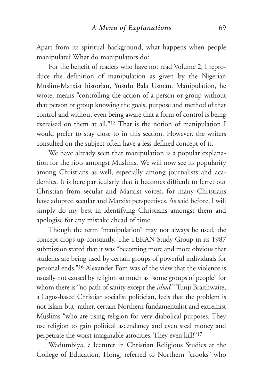Apart from its spiritual background, what happens when people manipulate? What do manipulators do?

For the benefit of readers who have not read Volume 2, I reproduce the definition of manipulation as given by the Nigerian Muslim-Marxist historian, Yusufu Bala Usman. Manipulation, he wrote, means "controlling the action of a person or group without that person or group knowing the goals, purpose and method of that control and without even being aware that a form of control is being exercised on them at all."15 That is the notion of manipulation I would prefer to stay close to in this section. However, the writers consulted on the subject often have a less defined concept of it.

We have already seen that manipulation is a popular explanation for the riots amongst Muslims. We will now see its popularity among Christians as well, especially among journalists and academics. It is here particularly that it becomes difficult to ferret out Christian from secular and Marxist voices, for many Christians have adopted secular and Marxist perspectives. As said before, I will simply do my best in identifying Christians amongst them and apologise for any mistake ahead of time.

Though the term "manipulation" may not always be used, the concept crops up constantly. The TEKAN Study Group in its 1987 submission stated that it was "becoming more and more obvious that students are being used by certain groups of powerful individuals for personal ends."16 Alexander Fom was of the view that the violence is usually not caused by religion so much as "some groups of people" for whom there is "no path of sanity except the *jihad.*" Tunji Braithwaite, a Lagos-based Christian socialist politician, feels that the problem is not Islam but, rather, certain Northern fundamentalist and extremist Muslims "who are using religion for very diabolical purposes. They use religion to gain political ascendancy and even steal money and perpetrate the worst imaginable atrocities. They even kill!"17

Wadumbiya, a lecturer in Christian Religious Studies at the College of Education, Hong, referred to Northern "crooks" who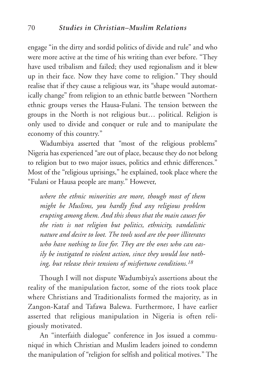engage "in the dirty and sordid politics of divide and rule" and who were more active at the time of his writing than ever before. "They have used tribalism and failed; they used regionalism and it blew up in their face. Now they have come to religion." They should realise that if they cause a religious war, its "shape would automatically change" from religion to an ethnic battle between "Northern ethnic groups verses the Hausa-Fulani. The tension between the groups in the North is not religious but… political. Religion is only used to divide and conquer or rule and to manipulate the economy of this country."

Wadumbiya asserted that "most of the religious problems" Nigeria has experienced "are out of place, because they do not belong to religion but to two major issues, politics and ethnic differences." Most of the "religious uprisings," he explained, took place where the "Fulani or Hausa people are many." However,

*where the ethnic minorities are more, though most of them might be Muslims, you hardly find any religious problem erupting among them. And this shows that the main causes for the riots is not religion but politics, ethnicity, vandalistic nature and desire to loot. The tools used are the poor illiterates who have nothing to live for. They are the ones who can easily be instigated to violent action, since they would lose nothing, but release their tensions of misfortune conditions.18*

Though I will not dispute Wadumbiya's assertions about the reality of the manipulation factor, some of the riots took place where Christians and Traditionalists formed the majority, as in Zangon-Kataf and Tafawa Balewa. Furthermore, I have earlier asserted that religious manipulation in Nigeria is often religiously motivated.

An "interfaith dialogue" conference in Jos issued a communiqué in which Christian and Muslim leaders joined to condemn the manipulation of "religion for selfish and political motives." The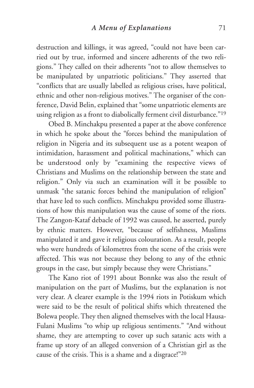destruction and killings, it was agreed, "could not have been carried out by true, informed and sincere adherents of the two religions." They called on their adherents "not to allow themselves to be manipulated by unpatriotic politicians." They asserted that "conflicts that are usually labelled as religious crises, have political, ethnic and other non-religious motives." The organiser of the conference, David Belin, explained that "some unpatriotic elements are using religion as a front to diabolically ferment civil disturbance."19

Obed B. Minchakpu presented a paper at the above conference in which he spoke about the "forces behind the manipulation of religion in Nigeria and its subsequent use as a potent weapon of intimidation, harassment and political machinations," which can be understood only by "examining the respective views of Christians and Muslims on the relationship between the state and religion." Only via such an examination will it be possible to unmask "the satanic forces behind the manipulation of religion" that have led to such conflicts. Minchakpu provided some illustrations of how this manipulation was the cause of some of the riots. The Zangon-Kataf debacle of 1992 was caused, he asserted, purely by ethnic matters. However, "because of selfishness, Muslims manipulated it and gave it religious colouration. As a result, people who were hundreds of kilometres from the scene of the crisis were affected. This was not because they belong to any of the ethnic groups in the case, but simply because they were Christians."

The Kano riot of 1991 about Bonnke was also the result of manipulation on the part of Muslims, but the explanation is not very clear. A clearer example is the 1994 riots in Potiskum which were said to be the result of political shifts which threatened the Bolewa people. They then aligned themselves with the local Hausa-Fulani Muslims "to whip up religious sentiments." "And without shame, they are attempting to cover up such satanic acts with a frame up story of an alleged conversion of a Christian girl as the cause of the crisis. This is a shame and a disgrace!"20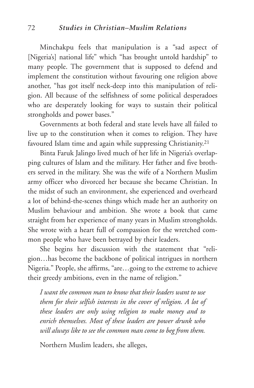Minchakpu feels that manipulation is a "sad aspect of [Nigeria's] national life" which "has brought untold hardship" to many people. The government that is supposed to defend and implement the constitution without favouring one religion above another, "has got itself neck-deep into this manipulation of religion. All because of the selfishness of some political desperadoes who are desperately looking for ways to sustain their political strongholds and power bases."

Governments at both federal and state levels have all failed to live up to the constitution when it comes to religion. They have favoured Islam time and again while suppressing Christianity.<sup>21</sup>

Binta Faruk Jalingo lived much of her life in Nigeria's overlapping cultures of Islam and the military. Her father and five brothers served in the military. She was the wife of a Northern Muslim army officer who divorced her because she became Christian. In the midst of such an environment, she experienced and overheard a lot of behind-the-scenes things which made her an authority on Muslim behaviour and ambition. She wrote a book that came straight from her experience of many years in Muslim strongholds. She wrote with a heart full of compassion for the wretched common people who have been betrayed by their leaders.

She begins her discussion with the statement that "religion…has become the backbone of political intrigues in northern Nigeria." People, she affirms, "are…going to the extreme to achieve their greedy ambitions, even in the name of religion."

*I want the common man to know that their leaders want to use them for their selfish interests in the cover of religion. A lot of these leaders are only using religion to make money and to enrich themselves. Most of these leaders are power drunk who will always like to see the common man come to beg from them.*

Northern Muslim leaders, she alleges,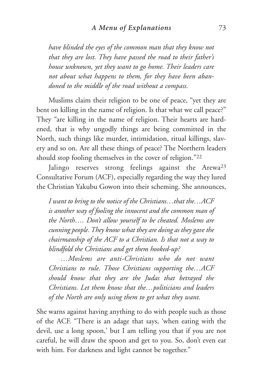*have blinded the eyes of the common man that they know not that they are lost. They have passed the road to their father's house unknown, yet they want to go home. Their leaders care not about what happens to them, for they have been abandoned to the middle of the road without a compass.*

Muslims claim their religion to be one of peace, "yet they are bent on killing in the name of religion. Is that what we call peace?" They "are killing in the name of religion. Their hearts are hardened, that is why ungodly things are being committed in the North, such things like murder, intimidation, ritual killings, slavery and so on. Are all these things of peace? The Northern leaders should stop fooling themselves in the cover of religion."22

Jalingo reserves strong feelings against the Arewa<sup>23</sup> Consultative Forum (ACF), especially regarding the way they lured the Christian Yakubu Gowon into their scheming. She announces,

*I want to bring to the notice of the Christians…that the…ACF is another way of fooling the innocent and the common man of the North…. Don't allow yourself to be cheated. Moslems are cunning people. They know what they are doing as they gave the chairmanship of the ACF to a Christian. Is that not a way to blindfold the Christians and get them hooked-up?*

*…Moslems are anti-Christians who do not want Christians to rule. Those Christians supporting the…ACF should know that they are the Judas that betrayed the Christians. Let them know that the…politicians and leaders of the North are only using them to get what they want.*

She warns against having anything to do with people such as those of the ACF. "There is an adage that says, 'when eating with the devil, use a long spoon,' but I am telling you that if you are not careful, he will draw the spoon and get to you. So, don't even eat with him. For darkness and light cannot be together."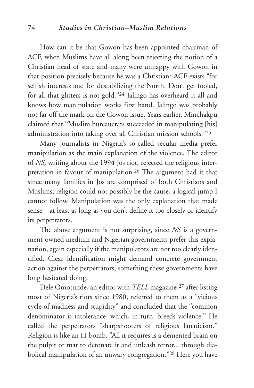#### 74 *Studies in Christian–Muslim Relations*

How can it be that Gowon has been appointed chairman of ACF, when Muslims have all along been rejecting the notion of a Christian head of state and many were unhappy with Gowon in that position precisely because he was a Christian? ACF exists "for selfish interests and for destabilizing the North. Don't get fooled, for all that glitters is not gold."24 Jalingo has overheard it all and knows how manipulation works first hand. Jalingo was probably not far off the mark on the Gowon issue. Years earlier, Minchakpu claimed that "Muslim bureaucrats succeeded in manipulating [his] administration into taking over all Christian mission schools."25

Many journalists in Nigeria's so-called secular media prefer manipulation as the main explanation of the violence. The editor of *NS,* writing about the 1994 Jos riot, rejected the religious interpretation in favour of manipulation.26 The argument had it that since many families in Jos are comprised of both Christians and Muslims, religion could not possibly be the cause, a logical jump I cannot follow. Manipulation was the only explanation that made sense—at least as long as you don't define it too closely or identify its perpetrators.

The above argument is not surprising, since *NS* is a government-owned medium and Nigerian governments prefer this explanation, again especially if the manipulators are not too clearly identified. Clear identification might demand concrete government action against the perpetrators, something these governments have long hesitated doing.

Dele Omotunde, an editor with *TELL* magazine,<sup>27</sup> after listing most of Nigeria's riots since 1980, referred to them as a "vicious cycle of madness and stupidity" and concluded that the "common denominator is intolerance, which, in turn, breeds violence." He called the perpetrators "sharpshooters of religious fanaticism." Religion is like an H-bomb. "All it requires is a demented brain on the pulpit or mat to detonate it and unleash terror... through diabolical manipulation of an unwary congregation."28 Here you have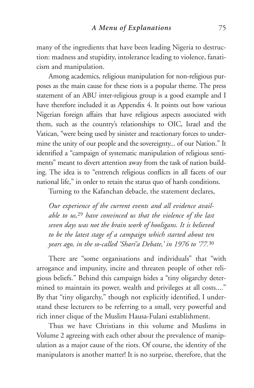many of the ingredients that have been leading Nigeria to destruction: madness and stupidity, intolerance leading to violence, fanaticism and manipulation.

Among academics, religious manipulation for non-religious purposes as the main cause for these riots is a popular theme. The press statement of an ABU inter-religious group is a good example and I have therefore included it as Appendix 4. It points out how various Nigerian foreign affairs that have religious aspects associated with them, such as the country's relationships to OIC, Israel and the Vatican, "were being used by sinister and reactionary forces to undermine the unity of our people and the sovereignty... of our Nation." It identified a "campaign of systematic manipulation of religious sentiments" meant to divert attention away from the task of nation building. The idea is to "entrench religious conflicts in all facets of our national life," in order to retain the status quo of harsh conditions.

Turning to the Kafanchan debacle, the statement declares,

*Our experience of the current events and all evidence available to us,*<sup>29</sup> *have convinced us that the violence of the last seven days was not the brain work of hooligans. It is believed to be the latest stage of a campaign which started about ten years ago, in the so-called 'Shari'a Debate,' in 1976 to '77.*<sup>30</sup>

There are "some organisations and individuals" that "with arrogance and impunity, incite and threaten people of other religious beliefs." Behind this campaign hides a "tiny oligarchy determined to maintain its power, wealth and privileges at all costs...." By that "tiny oligarchy," though not explicitly identified, I understand these lecturers to be referring to a small, very powerful and rich inner clique of the Muslim Hausa-Fulani establishment.

Thus we have Christians in this volume and Muslims in Volume 2 agreeing with each other about the prevalence of manipulation as a major cause of the riots. Of course, the identity of the manipulators is another matter! It is no surprise, therefore, that the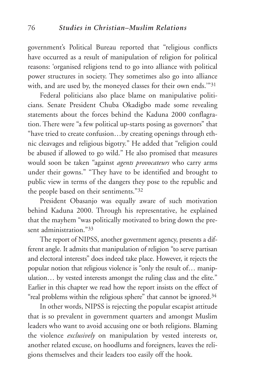government's Political Bureau reported that "religious conflicts have occurred as a result of manipulation of religion for political reasons: 'organised religions tend to go into alliance with political power structures in society. They sometimes also go into alliance with, and are used by, the moneyed classes for their own ends.'"31

Federal politicians also place blame on manipulative politicians. Senate President Chuba Okadigbo made some revealing statements about the forces behind the Kaduna 2000 conflagration. There were "a few political up-starts posing as governors" that "have tried to create confusion…by creating openings through ethnic cleavages and religious bigotry." He added that "religion could be abused if allowed to go wild." He also promised that measures would soon be taken "against *agents provocateurs* who carry arms under their gowns." "They have to be identified and brought to public view in terms of the dangers they pose to the republic and the people based on their sentiments."32

President Obasanjo was equally aware of such motivation behind Kaduna 2000. Through his representative, he explained that the mayhem "was politically motivated to bring down the present administration."33

The report of NIPSS, another government agency, presents a different angle. It admits that manipulation of religion "to serve partisan and electoral interests" does indeed take place. However, it rejects the popular notion that religious violence is "only the result of… manipulation… by vested interests amongst the ruling class and the elite." Earlier in this chapter we read how the report insists on the effect of "real problems within the religious sphere" that cannot be ignored.<sup>34</sup>

In other words, NIPSS is rejecting the popular escapist attitude that is so prevalent in government quarters and amongst Muslim leaders who want to avoid accusing one or both religions. Blaming the violence *exclusively* on manipulation by vested interests or, another related excuse, on hoodlums and foreigners, leaves the religions themselves and their leaders too easily off the hook.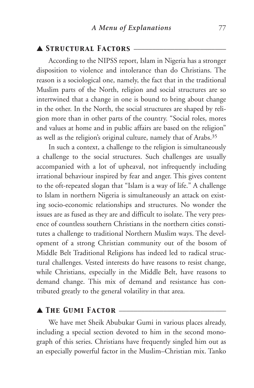## ▲ *Structural Factors* \_\_\_\_\_\_\_\_\_\_\_\_\_\_\_\_\_\_\_\_\_\_\_\_\_

According to the NIPSS report, Islam in Nigeria has a stronger disposition to violence and intolerance than do Christians. The reason is a sociological one, namely, the fact that in the traditional Muslim parts of the North, religion and social structures are so intertwined that a change in one is bound to bring about change in the other. In the North, the social structures are shaped by religion more than in other parts of the country. "Social roles, mores and values at home and in public affairs are based on the religion" as well as the religion's original culture, namely that of Arabs.35

In such a context, a challenge to the religion is simultaneously a challenge to the social structures. Such challenges are usually accompanied with a lot of upheaval, not infrequently including irrational behaviour inspired by fear and anger. This gives content to the oft-repeated slogan that "Islam is a way of life." A challenge to Islam in northern Nigeria is simultaneously an attack on existing socio-economic relationships and structures. No wonder the issues are as fused as they are and difficult to isolate. The very presence of countless southern Christians in the northern cities constitutes a challenge to traditional Northern Muslim ways. The development of a strong Christian community out of the bosom of Middle Belt Traditional Religions has indeed led to radical structural challenges. Vested interests do have reasons to resist change, while Christians, especially in the Middle Belt, have reasons to demand change. This mix of demand and resistance has contributed greatly to the general volatility in that area.

### ▲ *The Gumi Factor* \_\_\_\_\_\_\_\_\_\_\_\_\_\_\_\_\_\_\_\_\_\_\_\_\_\_\_\_\_

We have met Sheik Abubukar Gumi in various places already, including a special section devoted to him in the second monograph of this series. Christians have frequently singled him out as an especially powerful factor in the Muslim–Christian mix. Tanko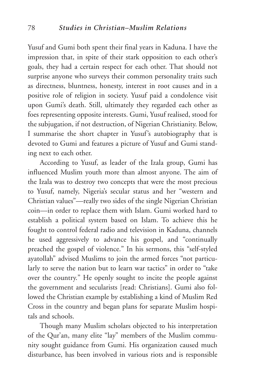Yusuf and Gumi both spent their final years in Kaduna. I have the impression that, in spite of their stark opposition to each other's goals, they had a certain respect for each other. That should not surprise anyone who surveys their common personality traits such as directness, bluntness, honesty, interest in root causes and in a positive role of religion in society. Yusuf paid a condolence visit upon Gumi's death. Still, ultimately they regarded each other as foes representing opposite interests. Gumi, Yusuf realised, stood for the subjugation, if not destruction, of Nigerian Christianity. Below, I summarise the short chapter in Yusuf's autobiography that is devoted to Gumi and features a picture of Yusuf and Gumi standing next to each other.

According to Yusuf, as leader of the Izala group, Gumi has influenced Muslim youth more than almost anyone. The aim of the Izala was to destroy two concepts that were the most precious to Yusuf, namely, Nigeria's secular status and her "western and Christian values"—really two sides of the single Nigerian Christian coin—in order to replace them with Islam. Gumi worked hard to establish a political system based on Islam. To achieve this he fought to control federal radio and television in Kaduna, channels he used aggressively to advance his gospel, and "continually preached the gospel of violence." In his sermons, this "self-styled ayatollah" advised Muslims to join the armed forces "not particularly to serve the nation but to learn war tactics" in order to "take over the country." He openly sought to incite the people against the government and secularists [read: Christians]. Gumi also followed the Christian example by establishing a kind of Muslim Red Cross in the country and began plans for separate Muslim hospitals and schools.

Though many Muslim scholars objected to his interpretation of the Qur'an, many elite "lay" members of the Muslim community sought guidance from Gumi. His organization caused much disturbance, has been involved in various riots and is responsible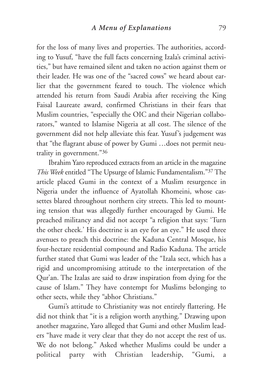for the loss of many lives and properties. The authorities, according to Yusuf, "have the full facts concerning Izala's criminal activities," but have remained silent and taken no action against them or their leader. He was one of the "sacred cows" we heard about earlier that the government feared to touch. The violence which attended his return from Saudi Arabia after receiving the King Faisal Laureate award, confirmed Christians in their fears that Muslim countries, "especially the OIC and their Nigerian collaborators," wanted to Islamise Nigeria at all cost. The silence of the government did not help alleviate this fear. Yusuf's judgement was that "the flagrant abuse of power by Gumi …does not permit neutrality in government."36

Ibrahim Yaro reproduced extracts from an article in the magazine *This Week* entitled "The Upsurge of Islamic Fundamentalism."37 The article placed Gumi in the context of a Muslim resurgence in Nigeria under the influence of Ayatollah Khomeini, whose cassettes blared throughout northern city streets. This led to mounting tension that was allegedly further encouraged by Gumi. He preached militancy and did not accept "a religion that says: 'Turn the other cheek.' His doctrine is an eye for an eye." He used three avenues to preach this doctrine: the Kaduna Central Mosque, his four-hectare residential compound and Radio Kaduna. The article further stated that Gumi was leader of the "Izala sect, which has a rigid and uncompromising attitude to the interpretation of the Qur'an. The Izalas are said to draw inspiration from dying for the cause of Islam." They have contempt for Muslims belonging to other sects, while they "abhor Christians."

Gumi's attitude to Christianity was not entirely flattering. He did not think that "it is a religion worth anything." Drawing upon another magazine, Yaro alleged that Gumi and other Muslim leaders "have made it very clear that they do not accept the rest of us. We do not belong." Asked whether Muslims could be under a political party with Christian leadership, "Gumi, a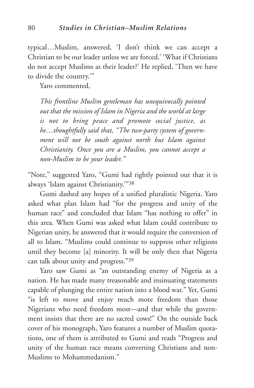typical…Muslim, answered, 'I don't think we can accept a Christian to be our leader unless we are forced.' 'What if Christians do not accept Muslims as their leader?' He replied, 'Then we have to divide the country.'"

Yaro commented,

*This frontline Muslim gentleman has unequivocally pointed out that the mission of Islam in Nigeria and the world at large is not to bring peace and promote social justice, as he…thoughtfully said that, "The two-party system of government will not be south against north but Islam against Christianity. Once you are a Muslim, you cannot accept a non-Muslim to be your leader."*

"Note," suggested Yaro, "Gumi had rightly pointed out that it is always 'Islam against Christianity.'"38

Gumi dashed any hopes of a unified pluralistic Nigeria. Yaro asked what plan Islam had "for the progress and unity of the human race" and concluded that Islam "has nothing to offer" in this area. When Gumi was asked what Islam could contribute to Nigerian unity, he answered that it would require the conversion of all to Islam. "Muslims could continue to suppress other religions until they become [a] minority. It will be only then that Nigeria can talk about unity and progress."39

Yaro saw Gumi as "an outstanding enemy of Nigeria as a nation. He has made many treasonable and insinuating statements capable of plunging the entire nation into a blood war." Yet, Gumi "is left to move and enjoy much more freedom than those Nigerians who need freedom most—and that while the government insists that there are no sacred cows!" On the outside back cover of his monograph, Yaro features a number of Muslim quotations, one of them is attributed to Gumi and reads "Progress and unity of the human race means converting Christians and non-Muslims to Mohammedanism."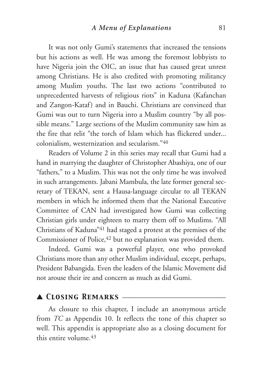It was not only Gumi's statements that increased the tensions but his actions as well. He was among the foremost lobbyists to have Nigeria join the OIC, an issue that has caused great unrest among Christians. He is also credited with promoting militancy among Muslim youths. The last two actions "contributed to unprecedented harvests of religious riots" in Kaduna (Kafanchan and Zangon-Kataf) and in Bauchi. Christians are convinced that Gumi was out to turn Nigeria into a Muslim country "by all possible means." Large sections of the Muslim community saw him as the fire that relit "the torch of Islam which has flickered under... colonialism, westernization and secularism."40

Readers of Volume 2 in this series may recall that Gumi had a hand in marrying the daughter of Christopher Abashiya, one of our "fathers," to a Muslim. This was not the only time he was involved in such arrangements. Jabani Mambula, the late former general secretary of TEKAN, sent a Hausa-language circular to all TEKAN members in which he informed them that the National Executive Committee of CAN had investigated how Gumi was collecting Christian girls under eighteen to marry them off to Muslims. "All Christians of Kaduna"41 had staged a protest at the premises of the Commissioner of Police, <sup>42</sup> but no explanation was provided them.

Indeed, Gumi was a powerful player, one who provoked Christians more than any other Muslim individual, except, perhaps, President Babangida. Even the leaders of the Islamic Movement did not arouse their ire and concern as much as did Gumi.

# ▲ *Closing Remarks* \_\_\_\_\_\_\_\_\_\_\_\_\_\_\_\_\_\_\_\_\_\_\_\_\_\_\_\_

As closure to this chapter, I include an anonymous article from *TC* as Appendix 10. It reflects the tone of this chapter so well. This appendix is appropriate also as a closing document for this entire volume  $43$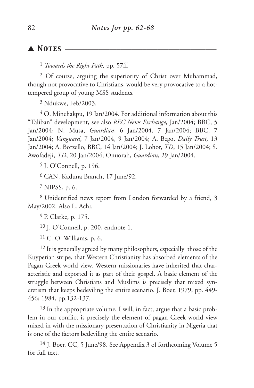## ▲ *Notes* \_\_\_\_\_\_\_\_\_\_\_\_\_\_\_\_\_\_\_\_\_\_\_\_\_\_\_\_\_\_\_\_\_\_\_\_\_\_\_\_\_

1 *Towards the Right Path,* pp. 57ff.

2 Of course, arguing the superiority of Christ over Muhammad, though not provocative to Christians, would be very provocative to a hottempered group of young MSS students.

3 Ndukwe, Feb/2003.

4 O. Minchakpu, 19 Jan/2004. For additional information about this "Taliban" development, see also *REC News Exchange,* Jan/2004; BBC, 5 Jan/2004; N. Musa, *Guardian*, 6 Jan/2004, 7 Jan/2004; BBC, 7 Jan/2004; *Vanguard*, 7 Jan/2004, 9 Jan/2004; A. Bego, *Daily Trust,* 13 Jan/2004; A. Borzello, BBC, 14 Jan/2004; J. Lohor, *TD*, 15 Jan/2004; S. Awofadeji, *TD*, 20 Jan/2004; Onuorah, *Guardian*, 29 Jan/2004.

5 J. O'Connell, p. 196.

6 CAN, Kaduna Branch, 17 June/92.

7 NIPSS, p. 6.

8 Unidentified news report from London forwarded by a friend, 3 May/2002. Also L. Achi.

9 P. Clarke, p. 175.

10 J. O'Connell, p. 200, endnote 1.

11 C. O. Williams, p. 6.

<sup>12</sup> It is generally agreed by many philosophers, especially those of the Kuyperian stripe, that Western Christianity has absorbed elements of the Pagan Greek world view. Western missionaries have inherited that characteristic and exported it as part of their gospel. A basic element of the struggle between Christians and Muslims is precisely that mixed syncretism that keeps bedeviling the entire scenario. J. Boer, 1979, pp. 449- 456; 1984, pp.132-137.

13 In the appropriate volume, I will, in fact, argue that a basic problem in our conflict is precisely the element of pagan Greek world view mixed in with the missionary presentation of Christianity in Nigeria that is one of the factors bedeviling the entire scenario.

<sup>14</sup> J. Boer. CC, 5 June/98. See Appendix 3 of forthcoming Volume 5 for full text.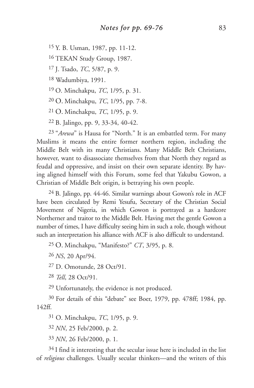15 Y. B. Usman, 1987, pp. 11-12.

16 TEKAN Study Group, 1987.

17 J. Tsado, *TC*, 5/87, p. 9.

18 Wadumbiya, 1991.

19 O. Minchakpu, *TC*, 1/95, p. 31.

20 O. Minchakpu, *TC*, 1/95, pp. 7-8.

21 O. Minchakpu, *TC*, 1/95, p. 9.

22 B. Jalingo, pp. 9, 33-34, 40-42.

23 "*Arewa*" is Hausa for "North." It is an embattled term. For many Muslims it means the entire former northern region, including the Middle Belt with its many Christians. Many Middle Belt Christians, however, want to disassociate themselves from that North they regard as feudal and oppressive, and insist on their own separate identity. By having aligned himself with this Forum, some feel that Yakubu Gowon, a Christian of Middle Belt origin, is betraying his own people.

24 B. Jalingo, pp. 44-46. Similar warnings about Gowon's role in ACF have been circulated by Remi Yesufu, Secretary of the Christian Social Movement of Nigeria, in which Gowon is portrayed as a hardcore Northerner and traitor to the Middle Belt. Having met the gentle Gowon a number of times, I have difficulty seeing him in such a role, though without such an interpretation his alliance with ACF is also difficult to understand.

25 O. Minchakpu, "Manifesto?" *CT*, 3/95, p. 8.

26 *NS*, 20 Apr/94.

27 D. Omotunde, 28 Oct/91.

28 *Tell*, 28 Oct/91.

29 Unfortunately, the evidence is not produced.

30 For details of this "debate" see Boer, 1979, pp. 478ff; 1984, pp. 142ff.

31 O. Minchakpu, *TC*, 1/95, p. 9.

32 *NN*, 25 Feb/2000, p. 2.

33 *NN*, 26 Feb/2000, p. 1.

34 I find it interesting that the secular issue here is included in the list of *religious* challenges. Usually secular thinkers—and the writers of this